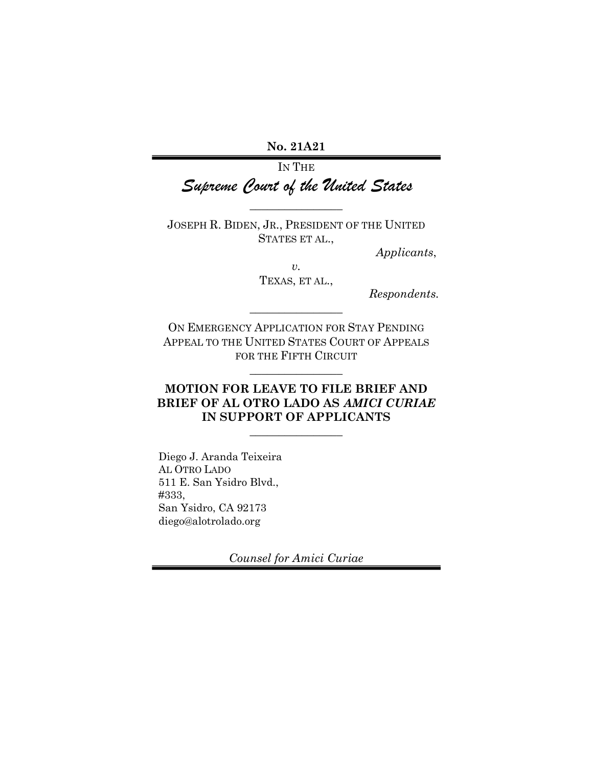No. 21A21

IN THE Supreme Court of the United States

JOSEPH R. BIDEN, JR., PRESIDENT OF THE UNITED STATES ET AL.,

 $\overline{\phantom{a}}$  , where  $\overline{\phantom{a}}$ 

Applicants,

 $\upsilon.$ TEXAS, ET AL.,

Respondents.

ON EMERGENCY APPLICATION FOR STAY PENDING APPEAL TO THE UNITED STATES COURT OF APPEALS FOR THE FIFTH CIRCUIT

 $\overline{\phantom{a}}$  , where  $\overline{\phantom{a}}$ 

 $\overline{\phantom{a}}$  , where  $\overline{\phantom{a}}$ 

### MOTION FOR LEAVE TO FILE BRIEF AND BRIEF OF AL OTRO LADO AS AMICI CURIAE IN SUPPORT OF APPLICANTS

 $\overline{\phantom{a}}$  , where  $\overline{\phantom{a}}$ 

Diego J. Aranda Teixeira AL OTRO LADO 511 E. San Ysidro Blvd., #333, San Ysidro, CA 92173 diego@alotrolado.org

Counsel for Amici Curiae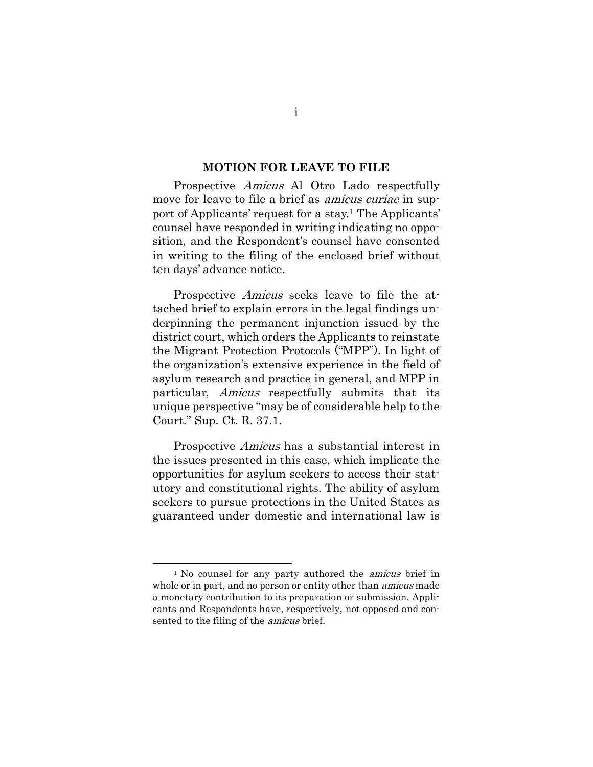#### MOTION FOR LEAVE TO FILE

Prospective *Amicus* Al Otro Lado respectfully move for leave to file a brief as *amicus curiae* in support of Applicants' request for a stay.1 The Applicants' counsel have responded in writing indicating no opposition, and the Respondent's counsel have consented in writing to the filing of the enclosed brief without ten days' advance notice.

Prospective *Amicus* seeks leave to file the attached brief to explain errors in the legal findings underpinning the permanent injunction issued by the district court, which orders the Applicants to reinstate the Migrant Protection Protocols ("MPP"). In light of the organization's extensive experience in the field of asylum research and practice in general, and MPP in particular, Amicus respectfully submits that its unique perspective "may be of considerable help to the Court." Sup. Ct. R. 37.1.

Prospective Amicus has a substantial interest in the issues presented in this case, which implicate the opportunities for asylum seekers to access their statutory and constitutional rights. The ability of asylum seekers to pursue protections in the United States as guaranteed under domestic and international law is

<sup>&</sup>lt;sup>1</sup> No counsel for any party authored the *amicus* brief in whole or in part, and no person or entity other than *amicus* made a monetary contribution to its preparation or submission. Applicants and Respondents have, respectively, not opposed and consented to the filing of the amicus brief.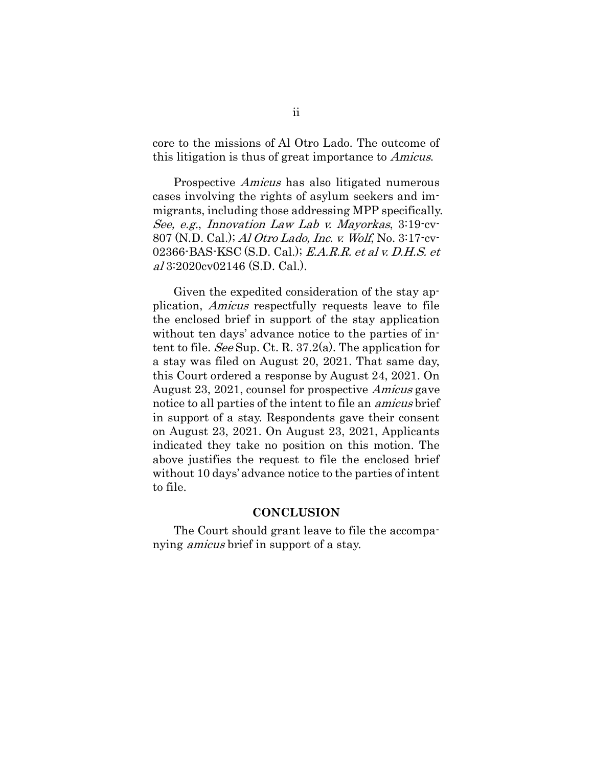core to the missions of Al Otro Lado. The outcome of this litigation is thus of great importance to Amicus.

Prospective *Amicus* has also litigated numerous cases involving the rights of asylum seekers and immigrants, including those addressing MPP specifically. See, e.g., Innovation Law Lab v. Mayorkas, 3:19-cv-807 (N.D. Cal.); Al Otro Lado, Inc. v. Wolf, No. 3:17-cv-02366-BAS-KSC (S.D. Cal.); E.A.R.R. et al v. D.H.S. et al 3:2020cv02146 (S.D. Cal.).

Given the expedited consideration of the stay application, Amicus respectfully requests leave to file the enclosed brief in support of the stay application without ten days' advance notice to the parties of intent to file. See Sup. Ct. R. 37.2(a). The application for a stay was filed on August 20, 2021. That same day, this Court ordered a response by August 24, 2021. On August 23, 2021, counsel for prospective Amicus gave notice to all parties of the intent to file an amicus brief in support of a stay. Respondents gave their consent on August 23, 2021. On August 23, 2021, Applicants indicated they take no position on this motion. The above justifies the request to file the enclosed brief without 10 days' advance notice to the parties of intent to file.

#### **CONCLUSION**

The Court should grant leave to file the accompanying *amicus* brief in support of a stay.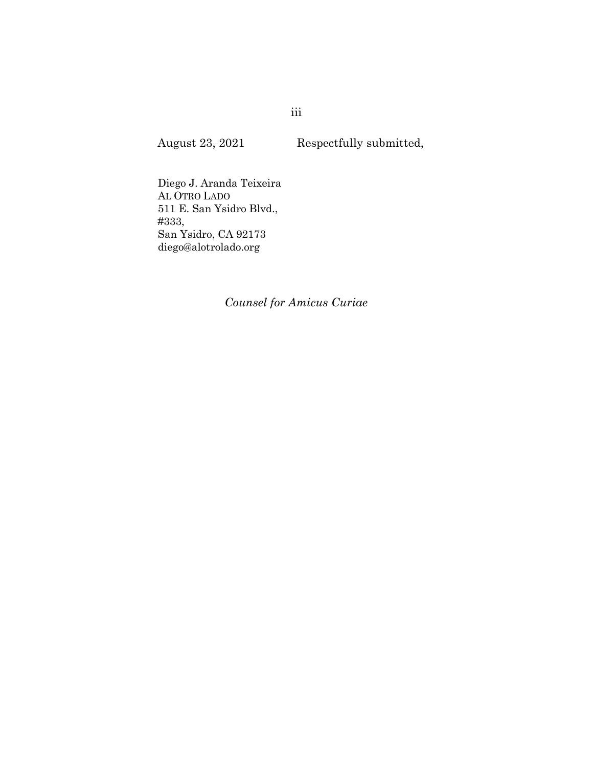August 23, 2021 Respectfully submitted,

Diego J. Aranda Teixeira AL OTRO LADO 511 E. San Ysidro Blvd., #333, San Ysidro, CA 92173 diego@alotrolado.org

Counsel for Amicus Curiae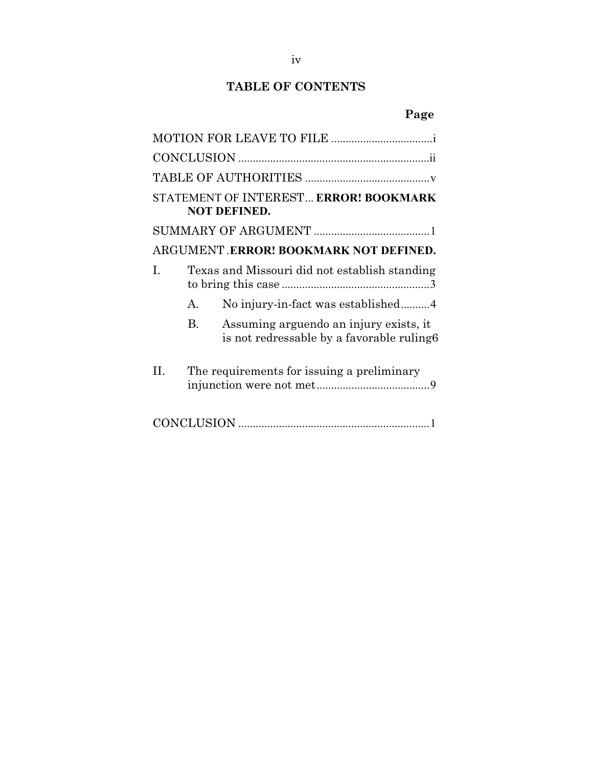## TABLE OF CONTENTS

# Page

| STATEMENT OF INTEREST ERROR! BOOKMARK<br><b>NOT DEFINED.</b>                               |
|--------------------------------------------------------------------------------------------|
|                                                                                            |
| ARGUMENT.ERROR! BOOKMARK NOT DEFINED.                                                      |
| Texas and Missouri did not establish standing<br>L                                         |
| No injury-in-fact was established4<br>$\mathsf{A}$                                         |
| Assuming arguendo an injury exists, it<br>B.<br>is not redressable by a favorable ruling 6 |
| П.<br>The requirements for issuing a preliminary                                           |
|                                                                                            |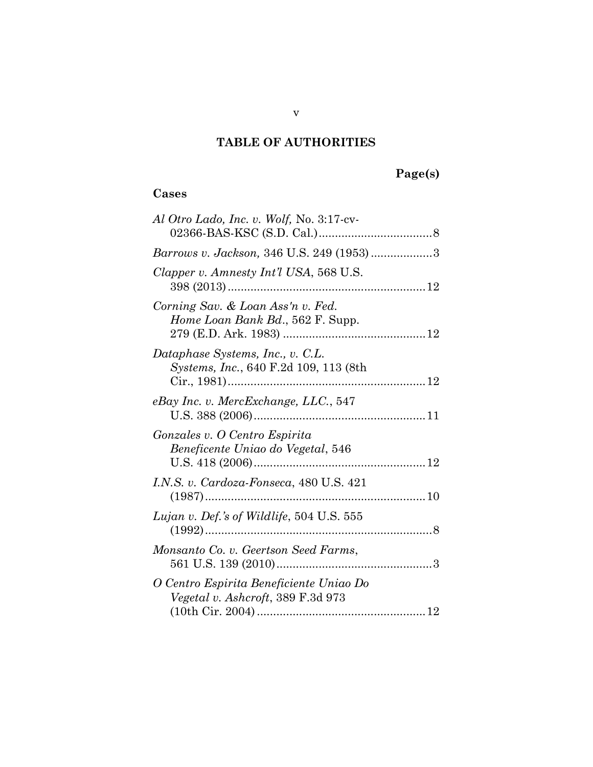## TABLE OF AUTHORITIES

## Page(s)

## Cases

| Al Otro Lado, Inc. v. Wolf, No. 3:17-cv-                                     |  |
|------------------------------------------------------------------------------|--|
| Barrows v. Jackson, 346 U.S. 249 (1953)3                                     |  |
| Clapper v. Amnesty Int'l USA, 568 U.S.                                       |  |
| Corning Sav. & Loan Ass'n v. Fed.<br>Home Loan Bank Bd., 562 F. Supp.        |  |
| Dataphase Systems, Inc., v. C.L.<br>Systems, Inc., 640 F.2d 109, 113 (8th    |  |
| eBay Inc. v. MercExchange, LLC., 547                                         |  |
| Gonzales v. O Centro Espirita<br>Beneficente Uniao do Vegetal, 546           |  |
| I.N.S. v. Cardoza-Fonseca, 480 U.S. 421                                      |  |
| Lujan v. Def.'s of Wildlife, 504 U.S. 555                                    |  |
| Monsanto Co. v. Geertson Seed Farms,                                         |  |
| O Centro Espirita Beneficiente Uniao Do<br>Vegetal v. Ashcroft, 389 F.3d 973 |  |
|                                                                              |  |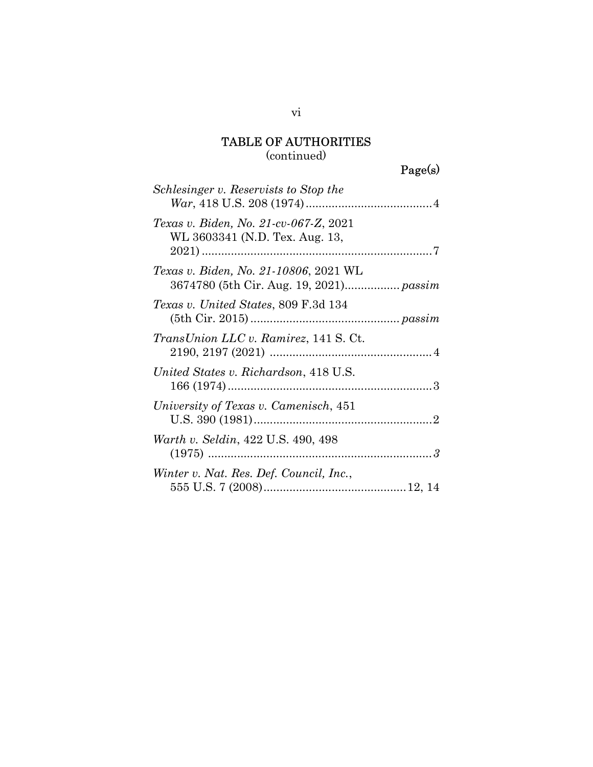## TABLE OF AUTHORITIES (continued)

Page(s)

| Schlesinger v. Reservists to Stop the                                   |
|-------------------------------------------------------------------------|
| Texas v. Biden, No. 21-cv-067-Z, 2021<br>WL 3603341 (N.D. Tex. Aug. 13, |
| <i>Texas v. Biden, No. 21-10806, 2021 WL</i>                            |
| <i>Texas v. United States, 809 F.3d 134</i>                             |
| TransUnion LLC v. Ramirez, 141 S. Ct.                                   |
| United States v. Richardson, 418 U.S.                                   |
| University of Texas v. Camenisch, 451                                   |
| Warth v. Seldin, 422 U.S. 490, 498                                      |
| Winter v. Nat. Res. Def. Council, Inc.,                                 |

vi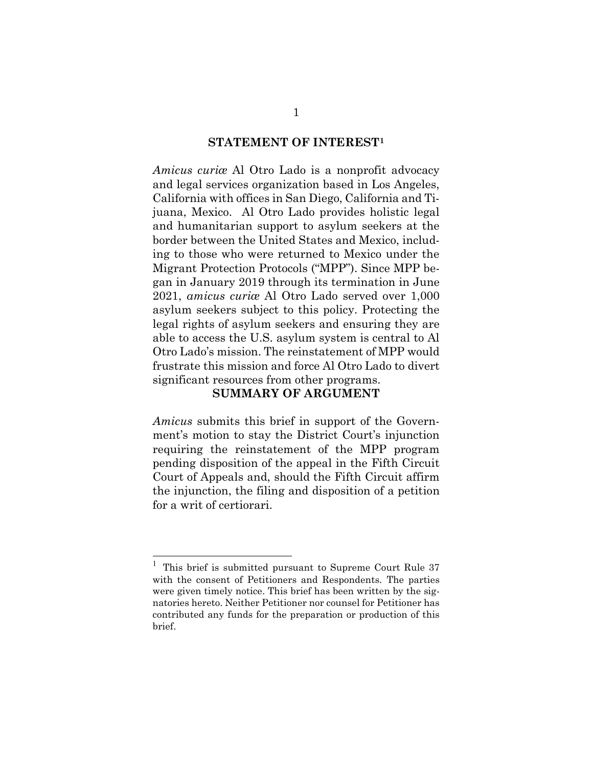#### STATEMENT OF INTEREST<sup>1</sup>

Amicus curiæ Al Otro Lado is a nonprofit advocacy and legal services organization based in Los Angeles, California with offices in San Diego, California and Tijuana, Mexico. Al Otro Lado provides holistic legal and humanitarian support to asylum seekers at the border between the United States and Mexico, including to those who were returned to Mexico under the Migrant Protection Protocols ("MPP"). Since MPP began in January 2019 through its termination in June 2021, amicus curiæ Al Otro Lado served over 1,000 asylum seekers subject to this policy. Protecting the legal rights of asylum seekers and ensuring they are able to access the U.S. asylum system is central to Al Otro Lado's mission. The reinstatement of MPP would frustrate this mission and force Al Otro Lado to divert significant resources from other programs.

#### SUMMARY OF ARGUMENT

Amicus submits this brief in support of the Government's motion to stay the District Court's injunction requiring the reinstatement of the MPP program pending disposition of the appeal in the Fifth Circuit Court of Appeals and, should the Fifth Circuit affirm the injunction, the filing and disposition of a petition for a writ of certiorari.

<sup>&</sup>lt;sup>1</sup> This brief is submitted pursuant to Supreme Court Rule 37 with the consent of Petitioners and Respondents. The parties were given timely notice. This brief has been written by the signatories hereto. Neither Petitioner nor counsel for Petitioner has contributed any funds for the preparation or production of this brief.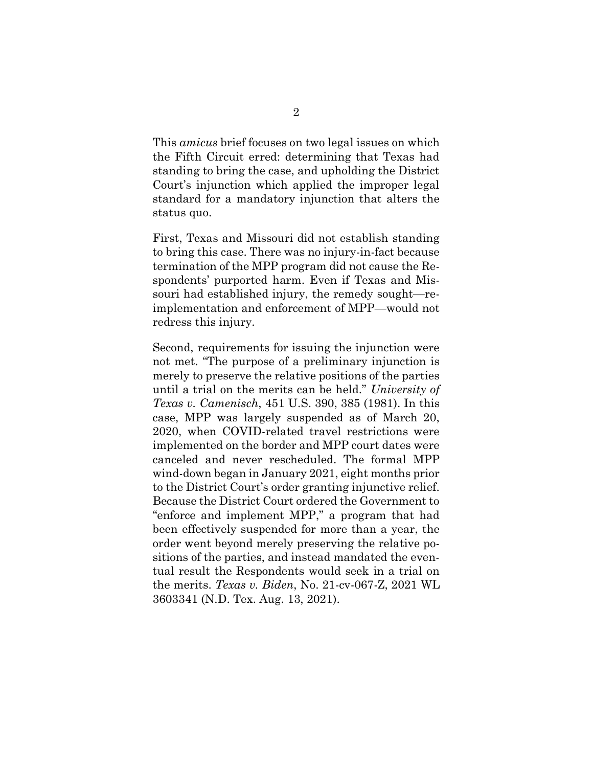This amicus brief focuses on two legal issues on which the Fifth Circuit erred: determining that Texas had standing to bring the case, and upholding the District Court's injunction which applied the improper legal standard for a mandatory injunction that alters the status quo.

First, Texas and Missouri did not establish standing to bring this case. There was no injury-in-fact because termination of the MPP program did not cause the Respondents' purported harm. Even if Texas and Missouri had established injury, the remedy sought—reimplementation and enforcement of MPP—would not redress this injury.

Second, requirements for issuing the injunction were not met. "The purpose of a preliminary injunction is merely to preserve the relative positions of the parties until a trial on the merits can be held." University of Texas v. Camenisch, 451 U.S. 390, 385 (1981). In this case, MPP was largely suspended as of March 20, 2020, when COVID-related travel restrictions were implemented on the border and MPP court dates were canceled and never rescheduled. The formal MPP wind-down began in January 2021, eight months prior to the District Court's order granting injunctive relief. Because the District Court ordered the Government to "enforce and implement MPP," a program that had been effectively suspended for more than a year, the order went beyond merely preserving the relative positions of the parties, and instead mandated the eventual result the Respondents would seek in a trial on the merits. Texas v. Biden, No. 21-cv-067-Z, 2021 WL 3603341 (N.D. Tex. Aug. 13, 2021).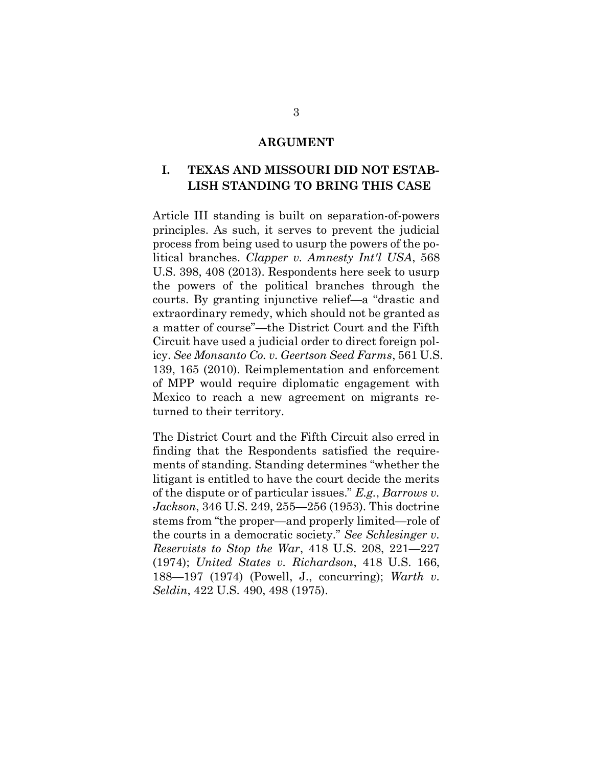#### ARGUMENT

### I. TEXAS AND MISSOURI DID NOT ESTAB-LISH STANDING TO BRING THIS CASE

Article III standing is built on separation-of-powers principles. As such, it serves to prevent the judicial process from being used to usurp the powers of the political branches. Clapper v. Amnesty Int'l USA, 568 U.S. 398, 408 (2013). Respondents here seek to usurp the powers of the political branches through the courts. By granting injunctive relief—a "drastic and extraordinary remedy, which should not be granted as a matter of course"—the District Court and the Fifth Circuit have used a judicial order to direct foreign policy. See Monsanto Co. v. Geertson Seed Farms, 561 U.S. 139, 165 (2010). Reimplementation and enforcement of MPP would require diplomatic engagement with Mexico to reach a new agreement on migrants returned to their territory.

The District Court and the Fifth Circuit also erred in finding that the Respondents satisfied the requirements of standing. Standing determines "whether the litigant is entitled to have the court decide the merits of the dispute or of particular issues." E.g., Barrows v. Jackson, 346 U.S. 249, 255—256 (1953). This doctrine stems from "the proper—and properly limited—role of the courts in a democratic society." See Schlesinger v. Reservists to Stop the War, 418 U.S. 208, 221—227 (1974); United States v. Richardson, 418 U.S. 166, 188—197 (1974) (Powell, J., concurring); Warth v. Seldin, 422 U.S. 490, 498 (1975).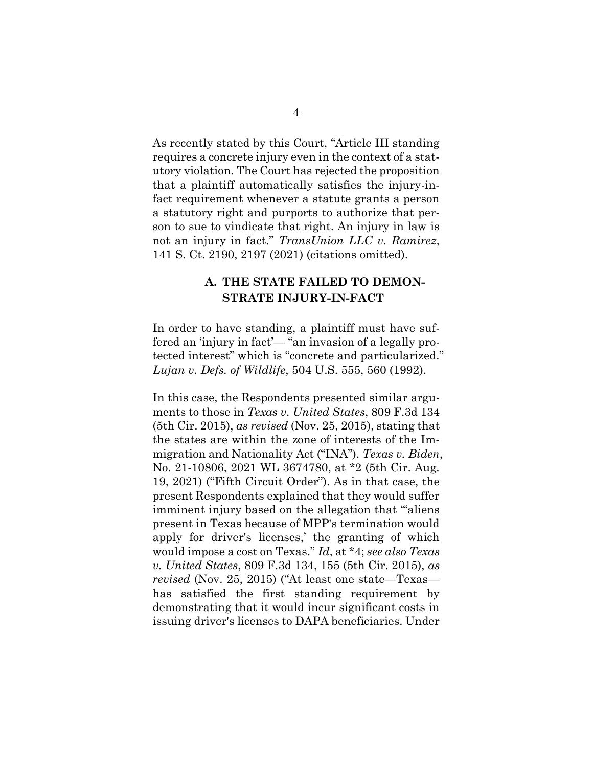As recently stated by this Court, "Article III standing requires a concrete injury even in the context of a statutory violation. The Court has rejected the proposition that a plaintiff automatically satisfies the injury-infact requirement whenever a statute grants a person a statutory right and purports to authorize that person to sue to vindicate that right. An injury in law is not an injury in fact." TransUnion LLC v. Ramirez, 141 S. Ct. 2190, 2197 (2021) (citations omitted).

### A. THE STATE FAILED TO DEMON-STRATE INJURY-IN-FACT

In order to have standing, a plaintiff must have suffered an 'injury in fact'— "an invasion of a legally protected interest" which is "concrete and particularized." Lujan v. Defs. of Wildlife, 504 U.S. 555, 560 (1992).

In this case, the Respondents presented similar arguments to those in Texas v. United States, 809 F.3d 134  $(5th Cir. 2015)$ , as revised (Nov. 25, 2015), stating that the states are within the zone of interests of the Immigration and Nationality Act ("INA"). Texas v. Biden, No. 21-10806, 2021 WL 3674780, at \*2 (5th Cir. Aug. 19, 2021) ("Fifth Circuit Order"). As in that case, the present Respondents explained that they would suffer imminent injury based on the allegation that "aliens" present in Texas because of MPP's termination would apply for driver's licenses,' the granting of which would impose a cost on Texas." Id, at \*4; see also Texas v. United States, 809 F.3d 134, 155 (5th Cir. 2015), as revised (Nov. 25, 2015) ("At least one state—Texas has satisfied the first standing requirement by demonstrating that it would incur significant costs in issuing driver's licenses to DAPA beneficiaries. Under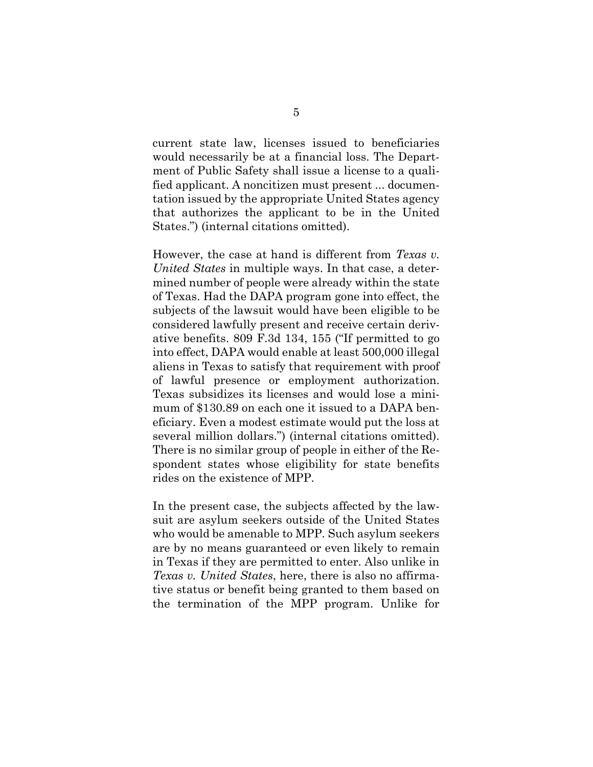current state law, licenses issued to beneficiaries would necessarily be at a financial loss. The Department of Public Safety shall issue a license to a qualified applicant. A noncitizen must present ... documentation issued by the appropriate United States agency that authorizes the applicant to be in the United States.") (internal citations omitted).

However, the case at hand is different from Texas v. United States in multiple ways. In that case, a determined number of people were already within the state of Texas. Had the DAPA program gone into effect, the subjects of the lawsuit would have been eligible to be considered lawfully present and receive certain derivative benefits. 809 F.3d 134, 155 ("If permitted to go into effect, DAPA would enable at least 500,000 illegal aliens in Texas to satisfy that requirement with proof of lawful presence or employment authorization. Texas subsidizes its licenses and would lose a minimum of \$130.89 on each one it issued to a DAPA beneficiary. Even a modest estimate would put the loss at several million dollars.") (internal citations omitted). There is no similar group of people in either of the Respondent states whose eligibility for state benefits rides on the existence of MPP.

In the present case, the subjects affected by the lawsuit are asylum seekers outside of the United States who would be amenable to MPP. Such asylum seekers are by no means guaranteed or even likely to remain in Texas if they are permitted to enter. Also unlike in Texas v. United States, here, there is also no affirmative status or benefit being granted to them based on the termination of the MPP program. Unlike for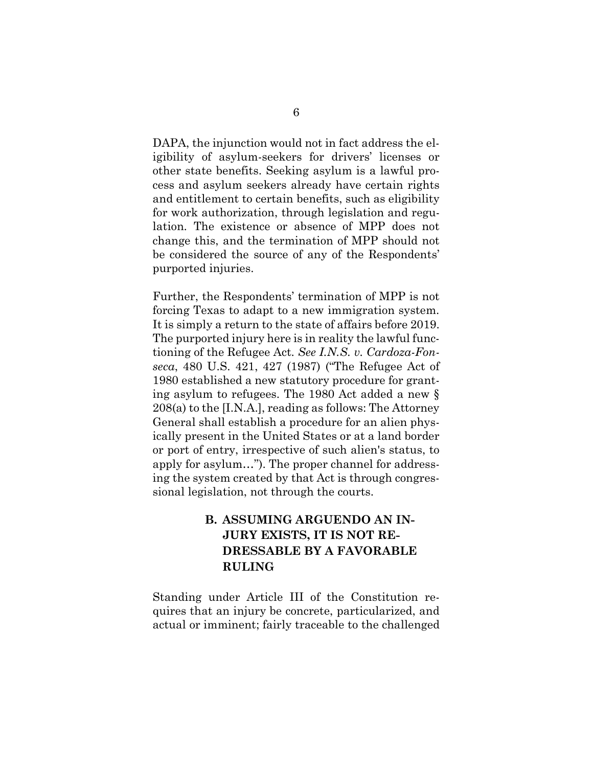DAPA, the injunction would not in fact address the eligibility of asylum-seekers for drivers' licenses or other state benefits. Seeking asylum is a lawful process and asylum seekers already have certain rights and entitlement to certain benefits, such as eligibility for work authorization, through legislation and regulation. The existence or absence of MPP does not change this, and the termination of MPP should not be considered the source of any of the Respondents' purported injuries.

Further, the Respondents' termination of MPP is not forcing Texas to adapt to a new immigration system. It is simply a return to the state of affairs before 2019. The purported injury here is in reality the lawful functioning of the Refugee Act. See I.N.S. v. Cardoza-Fonseca, 480 U.S. 421, 427 (1987) ("The Refugee Act of 1980 established a new statutory procedure for granting asylum to refugees. The 1980 Act added a new § 208(a) to the [I.N.A.], reading as follows: The Attorney General shall establish a procedure for an alien physically present in the United States or at a land border or port of entry, irrespective of such alien's status, to apply for asylum…"). The proper channel for addressing the system created by that Act is through congressional legislation, not through the courts.

## B. ASSUMING ARGUENDO AN IN-JURY EXISTS, IT IS NOT RE-DRESSABLE BY A FAVORABLE RULING

Standing under Article III of the Constitution requires that an injury be concrete, particularized, and actual or imminent; fairly traceable to the challenged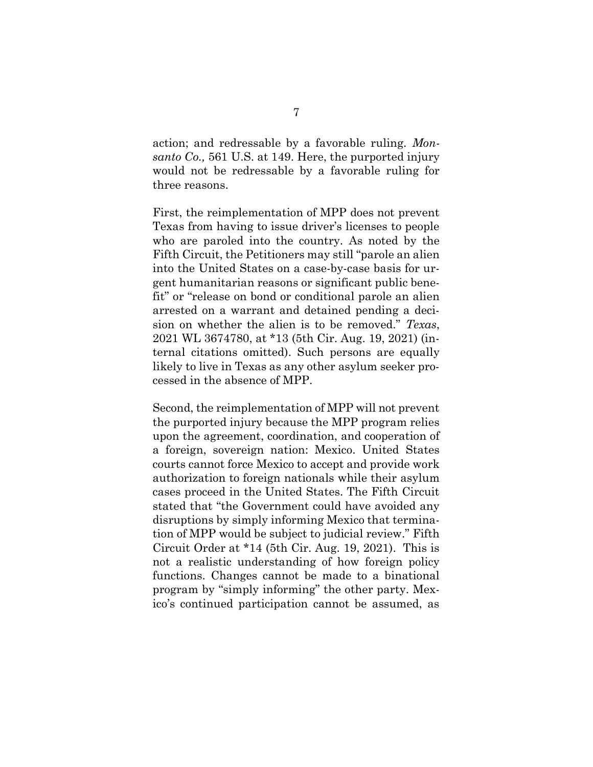action; and redressable by a favorable ruling. Monsanto Co., 561 U.S. at 149. Here, the purported injury would not be redressable by a favorable ruling for three reasons.

First, the reimplementation of MPP does not prevent Texas from having to issue driver's licenses to people who are paroled into the country. As noted by the Fifth Circuit, the Petitioners may still "parole an alien into the United States on a case-by-case basis for urgent humanitarian reasons or significant public benefit" or "release on bond or conditional parole an alien arrested on a warrant and detained pending a decision on whether the alien is to be removed." Texas, 2021 WL 3674780, at \*13 (5th Cir. Aug. 19, 2021) (internal citations omitted). Such persons are equally likely to live in Texas as any other asylum seeker processed in the absence of MPP.

Second, the reimplementation of MPP will not prevent the purported injury because the MPP program relies upon the agreement, coordination, and cooperation of a foreign, sovereign nation: Mexico. United States courts cannot force Mexico to accept and provide work authorization to foreign nationals while their asylum cases proceed in the United States. The Fifth Circuit stated that "the Government could have avoided any disruptions by simply informing Mexico that termination of MPP would be subject to judicial review." Fifth Circuit Order at \*14 (5th Cir. Aug. 19, 2021). This is not a realistic understanding of how foreign policy functions. Changes cannot be made to a binational program by "simply informing" the other party. Mexico's continued participation cannot be assumed, as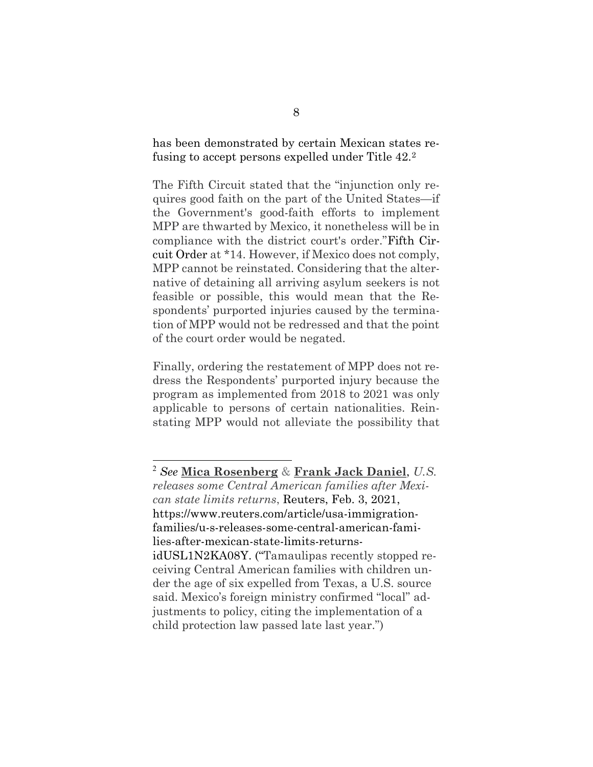has been demonstrated by certain Mexican states refusing to accept persons expelled under Title 42.<sup>2</sup>

The Fifth Circuit stated that the "injunction only requires good faith on the part of the United States—if the Government's good-faith efforts to implement MPP are thwarted by Mexico, it nonetheless will be in compliance with the district court's order."Fifth Circuit Order at \*14. However, if Mexico does not comply, MPP cannot be reinstated. Considering that the alternative of detaining all arriving asylum seekers is not feasible or possible, this would mean that the Respondents' purported injuries caused by the termination of MPP would not be redressed and that the point of the court order would be negated.

Finally, ordering the restatement of MPP does not redress the Respondents' purported injury because the program as implemented from 2018 to 2021 was only applicable to persons of certain nationalities. Reinstating MPP would not alleviate the possibility that

 $2$  See Mica Rosenberg & Frank Jack Daniel, U.S. releases some Central American families after Mexican state limits returns, Reuters, Feb. 3, 2021, https://www.reuters.com/article/usa-immigrationfamilies/u-s-releases-some-central-american-families-after-mexican-state-limits-returnsidUSL1N2KA08Y. ("Tamaulipas recently stopped receiving Central American families with children under the age of six expelled from Texas, a U.S. source said. Mexico's foreign ministry confirmed "local" adjustments to policy, citing the implementation of a child protection law passed late last year.")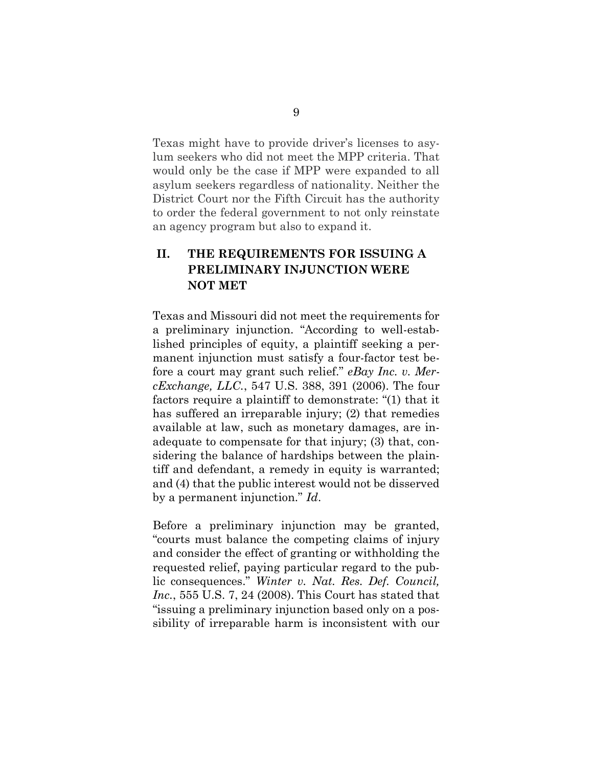Texas might have to provide driver's licenses to asylum seekers who did not meet the MPP criteria. That would only be the case if MPP were expanded to all asylum seekers regardless of nationality. Neither the District Court nor the Fifth Circuit has the authority to order the federal government to not only reinstate an agency program but also to expand it.

## II. THE REQUIREMENTS FOR ISSUING A PRELIMINARY INJUNCTION WERE NOT MET

Texas and Missouri did not meet the requirements for a preliminary injunction. "According to well-established principles of equity, a plaintiff seeking a permanent injunction must satisfy a four-factor test before a court may grant such relief." eBay Inc. v. MercExchange, LLC., 547 U.S. 388, 391 (2006). The four factors require a plaintiff to demonstrate: "(1) that it has suffered an irreparable injury; (2) that remedies available at law, such as monetary damages, are inadequate to compensate for that injury; (3) that, considering the balance of hardships between the plaintiff and defendant, a remedy in equity is warranted; and (4) that the public interest would not be disserved by a permanent injunction." Id.

Before a preliminary injunction may be granted, "courts must balance the competing claims of injury and consider the effect of granting or withholding the requested relief, paying particular regard to the public consequences." Winter v. Nat. Res. Def. Council, Inc., 555 U.S. 7, 24 (2008). This Court has stated that "issuing a preliminary injunction based only on a possibility of irreparable harm is inconsistent with our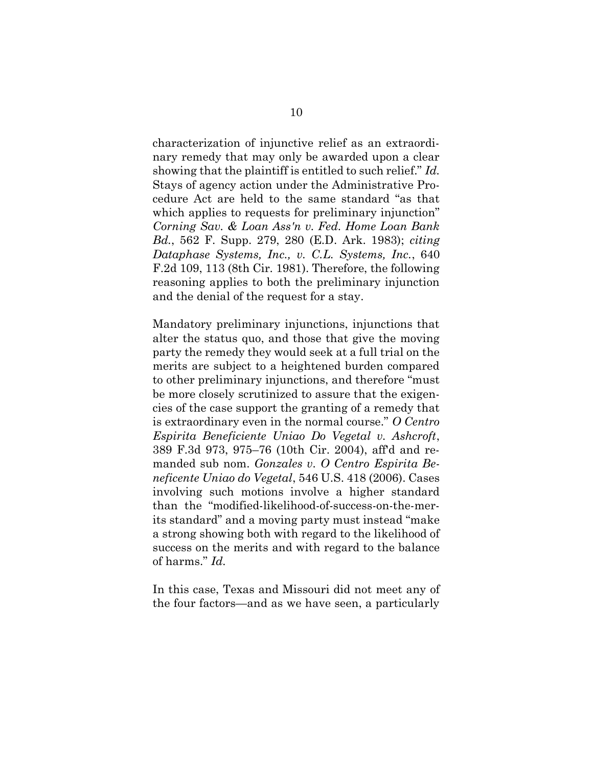characterization of injunctive relief as an extraordinary remedy that may only be awarded upon a clear showing that the plaintiff is entitled to such relief." Id. Stays of agency action under the Administrative Procedure Act are held to the same standard "as that which applies to requests for preliminary injunction" Corning Sav. & Loan Ass'n v. Fed. Home Loan Bank Bd., 562 F. Supp. 279, 280 (E.D. Ark. 1983); citing Dataphase Systems, Inc., v. C.L. Systems, Inc., 640 F.2d 109, 113 (8th Cir. 1981). Therefore, the following reasoning applies to both the preliminary injunction and the denial of the request for a stay.

Mandatory preliminary injunctions, injunctions that alter the status quo, and those that give the moving party the remedy they would seek at a full trial on the merits are subject to a heightened burden compared to other preliminary injunctions, and therefore "must be more closely scrutinized to assure that the exigencies of the case support the granting of a remedy that is extraordinary even in the normal course." O Centro Espirita Beneficiente Uniao Do Vegetal v. Ashcroft, 389 F.3d 973, 975–76 (10th Cir. 2004), aff'd and remanded sub nom. Gonzales v. O Centro Espirita Beneficente Uniao do Vegetal, 546 U.S. 418 (2006). Cases involving such motions involve a higher standard than the "modified-likelihood-of-success-on-the-merits standard" and a moving party must instead "make a strong showing both with regard to the likelihood of success on the merits and with regard to the balance of harms." Id.

In this case, Texas and Missouri did not meet any of the four factors—and as we have seen, a particularly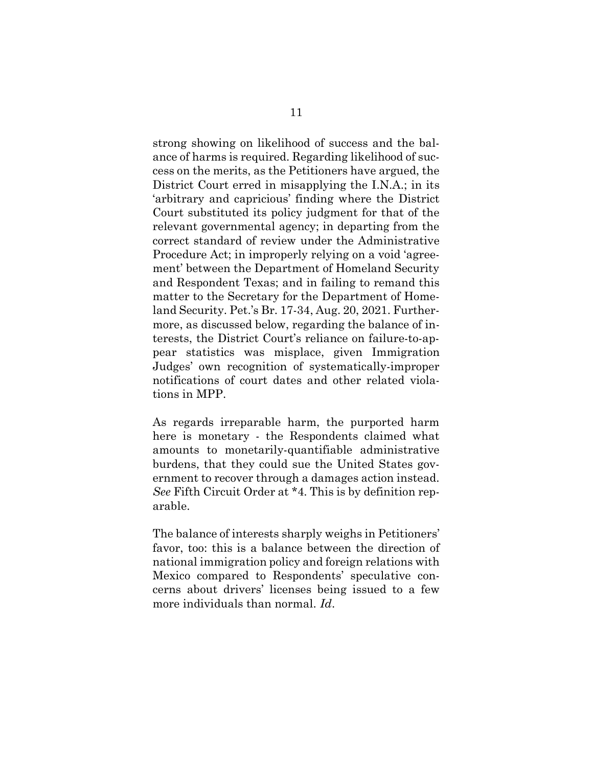strong showing on likelihood of success and the balance of harms is required. Regarding likelihood of success on the merits, as the Petitioners have argued, the District Court erred in misapplying the I.N.A.; in its 'arbitrary and capricious' finding where the District Court substituted its policy judgment for that of the relevant governmental agency; in departing from the correct standard of review under the Administrative Procedure Act; in improperly relying on a void 'agreement' between the Department of Homeland Security and Respondent Texas; and in failing to remand this matter to the Secretary for the Department of Homeland Security. Pet.'s Br. 17-34, Aug. 20, 2021. Furthermore, as discussed below, regarding the balance of interests, the District Court's reliance on failure-to-appear statistics was misplace, given Immigration Judges' own recognition of systematically-improper notifications of court dates and other related violations in MPP.

As regards irreparable harm, the purported harm here is monetary - the Respondents claimed what amounts to monetarily-quantifiable administrative burdens, that they could sue the United States government to recover through a damages action instead. See Fifth Circuit Order at \*4. This is by definition reparable.

The balance of interests sharply weighs in Petitioners' favor, too: this is a balance between the direction of national immigration policy and foreign relations with Mexico compared to Respondents' speculative concerns about drivers' licenses being issued to a few more individuals than normal. Id.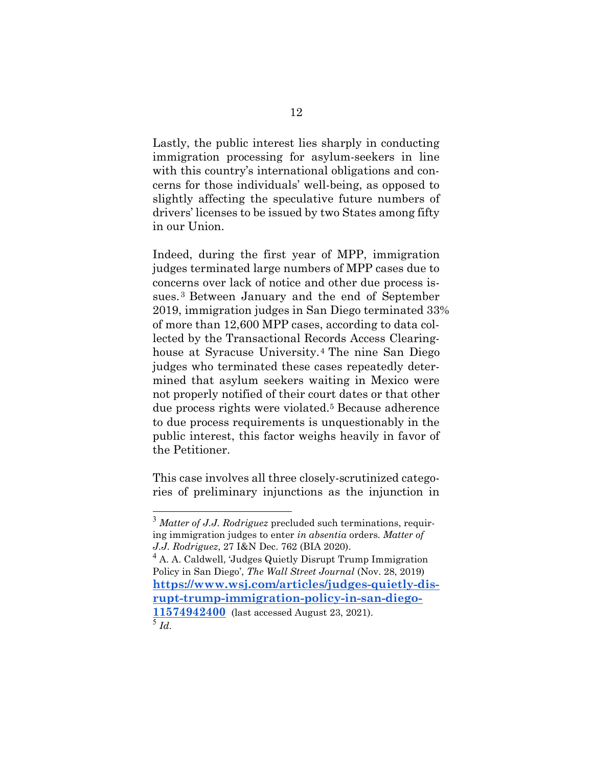Lastly, the public interest lies sharply in conducting immigration processing for asylum-seekers in line with this country's international obligations and concerns for those individuals' well-being, as opposed to slightly affecting the speculative future numbers of drivers' licenses to be issued by two States among fifty in our Union.

Indeed, during the first year of MPP, immigration judges terminated large numbers of MPP cases due to concerns over lack of notice and other due process issues. <sup>3</sup> Between January and the end of September 2019, immigration judges in San Diego terminated 33% of more than 12,600 MPP cases, according to data collected by the Transactional Records Access Clearinghouse at Syracuse University.4 The nine San Diego judges who terminated these cases repeatedly determined that asylum seekers waiting in Mexico were not properly notified of their court dates or that other due process rights were violated.5 Because adherence to due process requirements is unquestionably in the public interest, this factor weighs heavily in favor of the Petitioner.

This case involves all three closely-scrutinized categories of preliminary injunctions as the injunction in

 $3$  *Matter of J.J. Rodriguez* precluded such terminations, requiring immigration judges to enter in absentia orders. Matter of J.J. Rodriguez, 27 I&N Dec. 762 (BIA 2020).

<sup>&</sup>lt;sup>4</sup> A. A. Caldwell, 'Judges Quietly Disrupt Trump Immigration Policy in San Diego', The Wall Street Journal (Nov. 28, 2019) https://www.wsj.com/articles/judges-quietly-disrupt-trump-immigration-policy-in-san-diego-11574942400 (last accessed August 23, 2021).  $^5$  Id.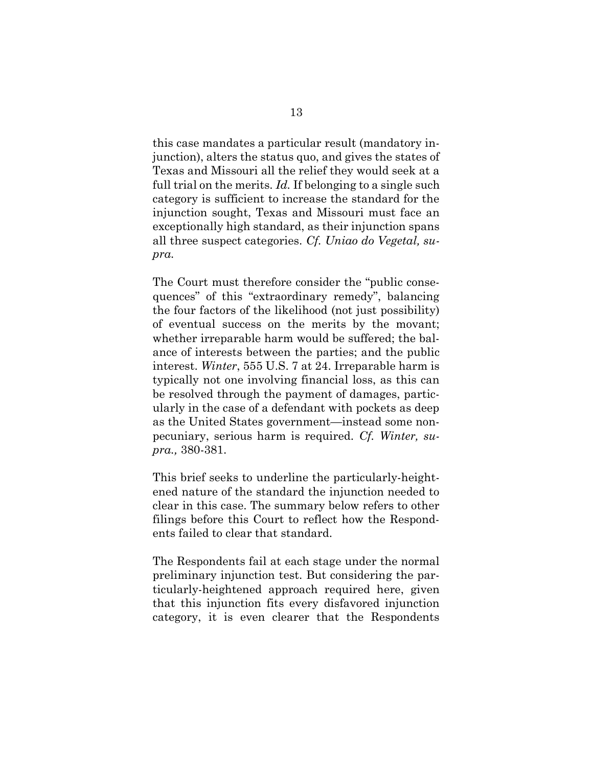this case mandates a particular result (mandatory injunction), alters the status quo, and gives the states of Texas and Missouri all the relief they would seek at a full trial on the merits. Id. If belonging to a single such category is sufficient to increase the standard for the injunction sought, Texas and Missouri must face an exceptionally high standard, as their injunction spans all three suspect categories. Cf. Uniao do Vegetal, supra.

The Court must therefore consider the "public consequences" of this "extraordinary remedy", balancing the four factors of the likelihood (not just possibility) of eventual success on the merits by the movant; whether irreparable harm would be suffered; the balance of interests between the parties; and the public interest. Winter, 555 U.S. 7 at 24. Irreparable harm is typically not one involving financial loss, as this can be resolved through the payment of damages, particularly in the case of a defendant with pockets as deep as the United States government—instead some nonpecuniary, serious harm is required. Cf. Winter, supra., 380-381.

This brief seeks to underline the particularly-heightened nature of the standard the injunction needed to clear in this case. The summary below refers to other filings before this Court to reflect how the Respondents failed to clear that standard.

The Respondents fail at each stage under the normal preliminary injunction test. But considering the particularly-heightened approach required here, given that this injunction fits every disfavored injunction category, it is even clearer that the Respondents